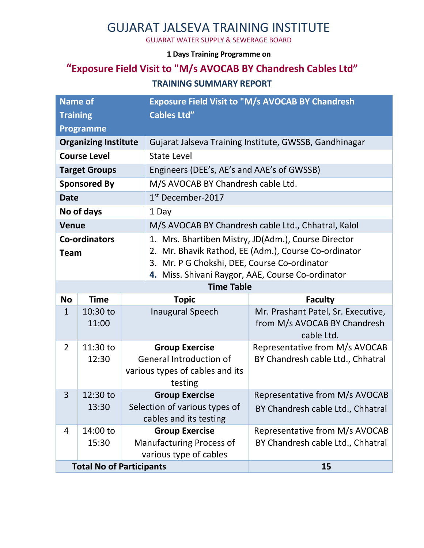# GUJARAT JALSEVA TRAINING INSTITUTE

GUJARAT WATER SUPPLY & SEWERAGE BOARD

#### **1 Days Training Programme on**

# **"Exposure Field Visit to "M/s AVOCAB BY Chandresh Cables Ltd"**

#### **TRAINING SUMMARY REPORT**

| <b>Name of</b>                  |                  |              | Exposure Field Visit to "M/s AVOCAB BY Chandresh       |                                    |  |
|---------------------------------|------------------|--------------|--------------------------------------------------------|------------------------------------|--|
| <b>Training</b>                 |                  |              | <b>Cables Ltd"</b>                                     |                                    |  |
|                                 | <b>Programme</b> |              |                                                        |                                    |  |
| <b>Organizing Institute</b>     |                  |              | Gujarat Jalseva Training Institute, GWSSB, Gandhinagar |                                    |  |
| <b>Course Level</b>             |                  |              | <b>State Level</b>                                     |                                    |  |
| <b>Target Groups</b>            |                  |              | Engineers (DEE's, AE's and AAE's of GWSSB)             |                                    |  |
| <b>Sponsored By</b>             |                  |              | M/S AVOCAB BY Chandresh cable Ltd.                     |                                    |  |
| <b>Date</b>                     |                  |              | 1 <sup>st</sup> December-2017                          |                                    |  |
| No of days                      |                  |              | 1 Day                                                  |                                    |  |
| <b>Venue</b>                    |                  |              | M/S AVOCAB BY Chandresh cable Ltd., Chhatral, Kalol    |                                    |  |
| <b>Co-ordinators</b>            |                  |              | 1. Mrs. Bhartiben Mistry, JD(Adm.), Course Director    |                                    |  |
| <b>Team</b>                     |                  |              | 2. Mr. Bhavik Rathod, EE (Adm.), Course Co-ordinator   |                                    |  |
|                                 |                  |              | 3. Mr. P G Chokshi, DEE, Course Co-ordinator           |                                    |  |
|                                 |                  |              | 4. Miss. Shivani Raygor, AAE, Course Co-ordinator      |                                    |  |
| <b>Time Table</b>               |                  |              |                                                        |                                    |  |
| <b>No</b>                       | <b>Time</b>      | <b>Topic</b> |                                                        | <b>Faculty</b>                     |  |
| $\mathbf{1}$                    | 10:30 to         |              | <b>Inaugural Speech</b>                                | Mr. Prashant Patel, Sr. Executive, |  |
|                                 | 11:00            |              |                                                        | from M/s AVOCAB BY Chandresh       |  |
|                                 |                  |              |                                                        | cable Ltd.                         |  |
| $\overline{2}$                  | 11:30 to         |              | <b>Group Exercise</b>                                  | Representative from M/s AVOCAB     |  |
|                                 | 12:30            |              | <b>General Introduction of</b>                         | BY Chandresh cable Ltd., Chhatral  |  |
|                                 |                  |              | various types of cables and its                        |                                    |  |
| 3                               | 12:30 to         |              | testing<br><b>Group Exercise</b>                       | Representative from M/s AVOCAB     |  |
|                                 | 13:30            |              | Selection of various types of                          |                                    |  |
|                                 |                  |              | cables and its testing                                 | BY Chandresh cable Ltd., Chhatral  |  |
| 4                               | 14:00 to         |              | <b>Group Exercise</b>                                  | Representative from M/s AVOCAB     |  |
|                                 | 15:30            |              | <b>Manufacturing Process of</b>                        | BY Chandresh cable Ltd., Chhatral  |  |
|                                 |                  |              | various type of cables                                 |                                    |  |
| <b>Total No of Participants</b> |                  |              |                                                        | 15                                 |  |